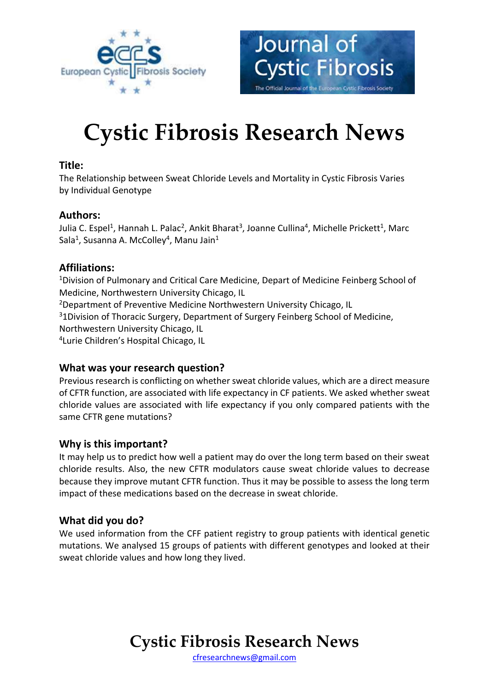



# **Cystic Fibrosis Research News**

## **Title:**

The Relationship between Sweat Chloride Levels and Mortality in Cystic Fibrosis Varies by Individual Genotype

## **Authors:**

Julia C. Espel<sup>1</sup>, Hannah L. Palac<sup>2</sup>, Ankit Bharat<sup>3</sup>, Joanne Cullina<sup>4</sup>, Michelle Prickett<sup>1</sup>, Marc Sala<sup>1</sup>, Susanna A. McColley<sup>4</sup>, Manu Jain<sup>1</sup>

## **Affiliations:**

<sup>1</sup>Division of Pulmonary and Critical Care Medicine, Depart of Medicine Feinberg School of Medicine, Northwestern University Chicago, IL <sup>2</sup>Department of Preventive Medicine Northwestern University Chicago, IL <sup>3</sup>1Division of Thoracic Surgery, Department of Surgery Feinberg School of Medicine, Northwestern University Chicago, IL 4 Lurie Children's Hospital Chicago, IL

# **What was your research question?**

Previous research is conflicting on whether sweat chloride values, which are a direct measure of CFTR function, are associated with life expectancy in CF patients. We asked whether sweat chloride values are associated with life expectancy if you only compared patients with the same CFTR gene mutations?

### **Why is this important?**

It may help us to predict how well a patient may do over the long term based on their sweat chloride results. Also, the new CFTR modulators cause sweat chloride values to decrease because they improve mutant CFTR function. Thus it may be possible to assess the long term impact of these medications based on the decrease in sweat chloride.

### **What did you do?**

We used information from the CFF patient registry to group patients with identical genetic mutations. We analysed 15 groups of patients with different genotypes and looked at their sweat chloride values and how long they lived.

# **Cystic Fibrosis Research News**

[cfresearchnews@gmail.com](mailto:cfresearchnews@gmail.com)